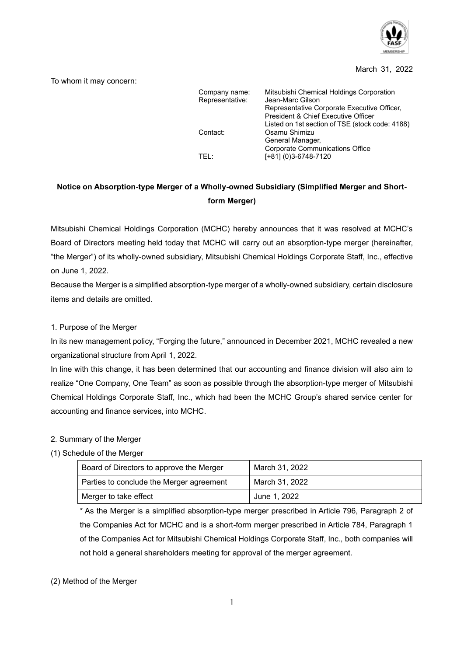

#### March 31, 2022

To whom it may concern:

| Company name:<br>Representative: | Mitsubishi Chemical Holdings Corporation<br>Jean-Marc Gilson<br>Representative Corporate Executive Officer,<br>President & Chief Executive Officer |  |  |  |
|----------------------------------|----------------------------------------------------------------------------------------------------------------------------------------------------|--|--|--|
| Contact:                         | Listed on 1st section of TSE (stock code: 4188)<br>Osamu Shimizu<br>General Manager,                                                               |  |  |  |
| TFL:                             | <b>Corporate Communications Office</b><br>[+81] (0)3-6748-7120                                                                                     |  |  |  |

# **Notice on Absorption-type Merger of a Wholly-owned Subsidiary (Simplified Merger and Shortform Merger)**

Mitsubishi Chemical Holdings Corporation (MCHC) hereby announces that it was resolved at MCHC's Board of Directors meeting held today that MCHC will carry out an absorption-type merger (hereinafter, "the Merger") of its wholly-owned subsidiary, Mitsubishi Chemical Holdings Corporate Staff, Inc., effective on June 1, 2022.

Because the Merger is a simplified absorption-type merger of a wholly-owned subsidiary, certain disclosure items and details are omitted.

### 1. Purpose of the Merger

In its new management policy, "Forging the future," announced in December 2021, MCHC revealed a new organizational structure from April 1, 2022.

In line with this change, it has been determined that our accounting and finance division will also aim to realize "One Company, One Team" as soon as possible through the absorption-type merger of Mitsubishi Chemical Holdings Corporate Staff, Inc., which had been the MCHC Group's shared service center for accounting and finance services, into MCHC.

### 2. Summary of the Merger

### (1) Schedule of the Merger

| Board of Directors to approve the Merger | March 31, 2022 |
|------------------------------------------|----------------|
| Parties to conclude the Merger agreement | March 31, 2022 |
| Merger to take effect                    | June 1, 2022   |

\* As the Merger is a simplified absorption-type merger prescribed in Article 796, Paragraph 2 of the Companies Act for MCHC and is a short-form merger prescribed in Article 784, Paragraph 1 of the Companies Act for Mitsubishi Chemical Holdings Corporate Staff, Inc., both companies will not hold a general shareholders meeting for approval of the merger agreement.

### (2) Method of the Merger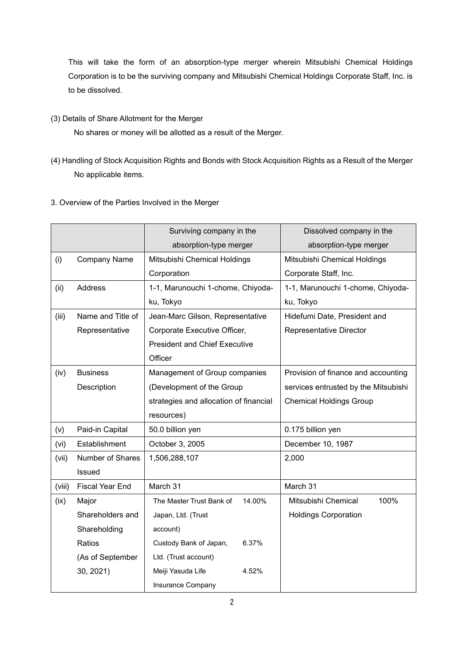This will take the form of an absorption-type merger wherein Mitsubishi Chemical Holdings Corporation is to be the surviving company and Mitsubishi Chemical Holdings Corporate Staff, Inc. is to be dissolved.

(3) Details of Share Allotment for the Merger

No shares or money will be allotted as a result of the Merger.

- (4) Handling of Stock Acquisition Rights and Bonds with Stock Acquisition Rights as a Result of the Merger No applicable items.
- 3. Overview of the Parties Involved in the Merger

|        |                        | Surviving company in the               | Dissolved company in the             |  |  |
|--------|------------------------|----------------------------------------|--------------------------------------|--|--|
|        |                        | absorption-type merger                 | absorption-type merger               |  |  |
| (i)    | <b>Company Name</b>    | Mitsubishi Chemical Holdings           | Mitsubishi Chemical Holdings         |  |  |
|        |                        | Corporation                            | Corporate Staff, Inc.                |  |  |
| (ii)   | Address                | 1-1, Marunouchi 1-chome, Chiyoda-      | 1-1, Marunouchi 1-chome, Chiyoda-    |  |  |
|        |                        | ku, Tokyo                              | ku, Tokyo                            |  |  |
| (iii)  | Name and Title of      | Jean-Marc Gilson, Representative       | Hidefumi Date, President and         |  |  |
|        | Representative         | Corporate Executive Officer,           | Representative Director              |  |  |
|        |                        | <b>President and Chief Executive</b>   |                                      |  |  |
|        |                        | Officer                                |                                      |  |  |
| (iv)   | <b>Business</b>        | Management of Group companies          | Provision of finance and accounting  |  |  |
|        | Description            | (Development of the Group              | services entrusted by the Mitsubishi |  |  |
|        |                        | strategies and allocation of financial | <b>Chemical Holdings Group</b>       |  |  |
|        |                        | resources)                             |                                      |  |  |
| (v)    | Paid-in Capital        | 50.0 billion yen                       | 0.175 billion yen                    |  |  |
| (vi)   | Establishment          | October 3, 2005                        | December 10, 1987                    |  |  |
| (vii)  | Number of Shares       | 1,506,288,107                          | 2,000                                |  |  |
|        | Issued                 |                                        |                                      |  |  |
| (viii) | <b>Fiscal Year End</b> | March 31                               | March 31                             |  |  |
| (ix)   | Major                  | The Master Trust Bank of<br>14.00%     | Mitsubishi Chemical<br>100%          |  |  |
|        | Shareholders and       | Japan, Ltd. (Trust                     | <b>Holdings Corporation</b>          |  |  |
|        | Shareholding           | account)                               |                                      |  |  |
|        | Ratios                 | 6.37%<br>Custody Bank of Japan,        |                                      |  |  |
|        | (As of September       | Ltd. (Trust account)                   |                                      |  |  |
|        | 30, 2021)              | Meiji Yasuda Life<br>4.52%             |                                      |  |  |
|        |                        | Insurance Company                      |                                      |  |  |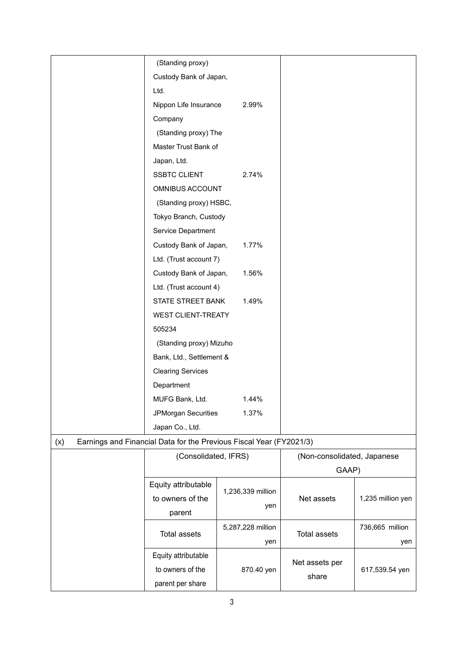| (Standing proxy) |                                                                     |                          |                             |                   |  |
|------------------|---------------------------------------------------------------------|--------------------------|-----------------------------|-------------------|--|
|                  | Custody Bank of Japan,                                              |                          |                             |                   |  |
|                  | Ltd.                                                                |                          |                             |                   |  |
|                  | Nippon Life Insurance                                               | 2.99%                    |                             |                   |  |
|                  | Company                                                             |                          |                             |                   |  |
|                  | (Standing proxy) The                                                |                          |                             |                   |  |
|                  | Master Trust Bank of                                                |                          |                             |                   |  |
|                  | Japan, Ltd.                                                         |                          |                             |                   |  |
|                  | <b>SSBTC CLIENT</b>                                                 | 2.74%                    |                             |                   |  |
|                  | OMNIBUS ACCOUNT                                                     |                          |                             |                   |  |
|                  | (Standing proxy) HSBC,                                              |                          |                             |                   |  |
|                  | Tokyo Branch, Custody                                               |                          |                             |                   |  |
|                  | Service Department                                                  |                          |                             |                   |  |
|                  | Custody Bank of Japan,                                              | 1.77%                    |                             |                   |  |
|                  | Ltd. (Trust account 7)                                              |                          |                             |                   |  |
|                  | Custody Bank of Japan,                                              | 1.56%                    |                             |                   |  |
|                  | Ltd. (Trust account 4)                                              |                          |                             |                   |  |
|                  | STATE STREET BANK<br>1.49%                                          |                          |                             |                   |  |
|                  | <b>WEST CLIENT-TREATY</b>                                           |                          |                             |                   |  |
|                  | 505234                                                              |                          |                             |                   |  |
|                  | (Standing proxy) Mizuho                                             |                          |                             |                   |  |
|                  | Bank, Ltd., Settlement &                                            |                          |                             |                   |  |
|                  | <b>Clearing Services</b>                                            |                          |                             |                   |  |
| Department       |                                                                     |                          |                             |                   |  |
|                  | MUFG Bank, Ltd.                                                     | 1.44%                    |                             |                   |  |
|                  | JPMorgan Securities<br>1.37%                                        |                          |                             |                   |  |
|                  | Japan Co., Ltd.                                                     |                          |                             |                   |  |
| (x)              | Earnings and Financial Data for the Previous Fiscal Year (FY2021/3) |                          |                             |                   |  |
|                  | (Consolidated, IFRS)                                                |                          | (Non-consolidated, Japanese |                   |  |
|                  |                                                                     |                          | GAAP)                       |                   |  |
|                  | Equity attributable                                                 |                          |                             | 1,235 million yen |  |
|                  | to owners of the                                                    | 1,236,339 million        | Net assets                  |                   |  |
|                  | parent                                                              | yen                      |                             |                   |  |
|                  |                                                                     | 5,287,228 million<br>yen | <b>Total assets</b>         | 736,665 million   |  |
|                  | <b>Total assets</b>                                                 |                          |                             | yen               |  |
|                  | Equity attributable                                                 |                          | Net assets per              | 617,539.54 yen    |  |
|                  | to owners of the                                                    | 870.40 yen               | share                       |                   |  |
|                  | parent per share                                                    |                          |                             |                   |  |